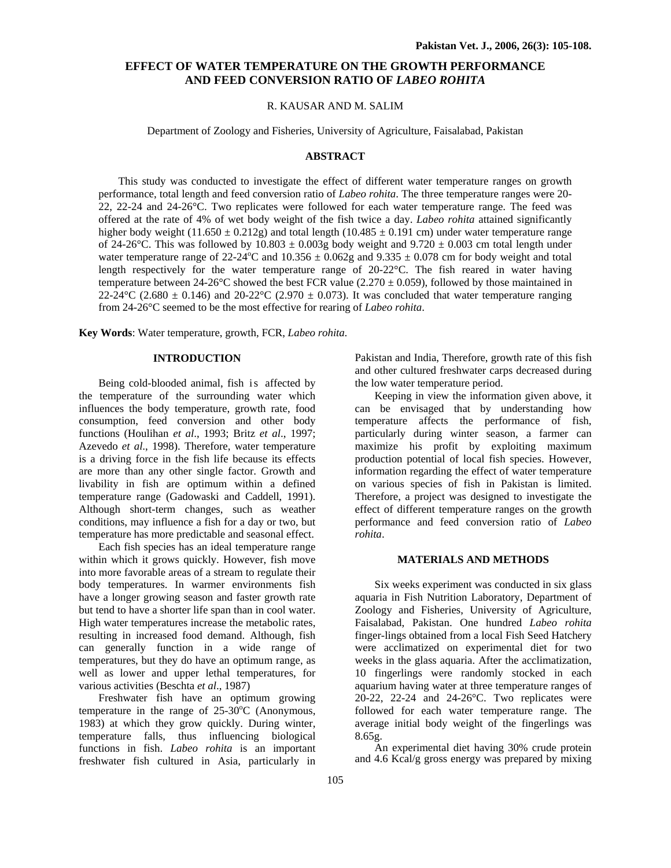# **EFFECT OF WATER TEMPERATURE ON THE GROWTH PERFORMANCE AND FEED CONVERSION RATIO OF** *LABEO ROHITA*

# R. KAUSAR AND M. SALIM

Department of Zoology and Fisheries, University of Agriculture, Faisalabad, Pakistan

## **ABSTRACT**

This study was conducted to investigate the effect of different water temperature ranges on growth performance, total length and feed conversion ratio of *Labeo rohita*. The three temperature ranges were 20- 22, 22-24 and 24-26°C. Two replicates were followed for each water temperature range. The feed was offered at the rate of 4% of wet body weight of the fish twice a day. *Labeo rohita* attained significantly higher body weight  $(11.650 \pm 0.212g)$  and total length  $(10.485 \pm 0.191$  cm) under water temperature range of 24-26°C. This was followed by 10.803  $\pm$  0.003g body weight and 9.720  $\pm$  0.003 cm total length under water temperature range of 22-24 °C and 10.356  $\pm$  0.062g and 9.335  $\pm$  0.078 cm for body weight and total length respectively for the water temperature range of 20-22°C. The fish reared in water having temperature between  $24{\text -}26^{\circ}\text{C}$  showed the best FCR value (2.270  $\pm$  0.059), followed by those maintained in 22-24°C (2.680  $\pm$  0.146) and 20-22°C (2.970  $\pm$  0.073). It was concluded that water temperature ranging from 24-26°C seemed to be the most effective for rearing of *Labeo rohita*.

**Key Words**: Water temperature, growth, FCR, *Labeo rohita.*

## **INTRODUCTION**

Being cold-blooded animal, fish is affected by the temperature of the surrounding water which influences the body temperature, growth rate, food consumption, feed conversion and other body functions (Houlihan *et al*., 1993; Britz *et al*., 1997; Azevedo *et al*., 1998). Therefore, water temperature is a driving force in the fish life because its effects are more than any other single factor. Growth and livability in fish are optimum within a defined temperature range (Gadowaski and Caddell, 1991). Although short-term changes, such as weather conditions, may influence a fish for a day or two, but temperature has more predictable and seasonal effect.

Each fish species has an ideal temperature range within which it grows quickly. However, fish move into more favorable areas of a stream to regulate their body temperatures. In warmer environments fish have a longer growing season and faster growth rate but tend to have a shorter life span than in cool water. High water temperatures increase the metabolic rates, resulting in increased food demand. Although, fish can generally function in a wide range of temperatures, but they do have an optimum range, as well as lower and upper lethal temperatures, for various activities (Beschta *et al*., 1987)

Freshwater fish have an optimum growing temperature in the range of  $25\text{-}30^{\circ}\text{C}$  (Anonymous, 1983) at which they grow quickly. During winter, temperature falls, thus influencing biological functions in fish. *Labeo rohita* is an important freshwater fish cultured in Asia, particularly in

Pakistan and India, Therefore, growth rate of this fish and other cultured freshwater carps decreased during the low water temperature period.

Keeping in view the information given above, it can be envisaged that by understanding how temperature affects the performance of fish, particularly during winter season, a farmer can maximize his profit by exploiting maximum production potential of local fish species. However, information regarding the effect of water temperature on various species of fish in Pakistan is limited. Therefore, a project was designed to investigate the effect of different temperature ranges on the growth performance and feed conversion ratio of *Labeo rohita*.

## **MATERIALS AND METHODS**

Six weeks experiment was conducted in six glass aquaria in Fish Nutrition Laboratory, Department of Zoology and Fisheries, University of Agriculture, Faisalabad, Pakistan. One hundred *Labeo rohita* finger-lings obtained from a local Fish Seed Hatchery were acclimatized on experimental diet for two weeks in the glass aquaria. After the acclimatization, 10 fingerlings were randomly stocked in each aquarium having water at three temperature ranges of 20-22, 22-24 and 24-26°C. Two replicates were followed for each water temperature range. The average initial body weight of the fingerlings was 8.65g.

An experimental diet having 30% crude protein and 4.6 Kcal/g gross energy was prepared by mixing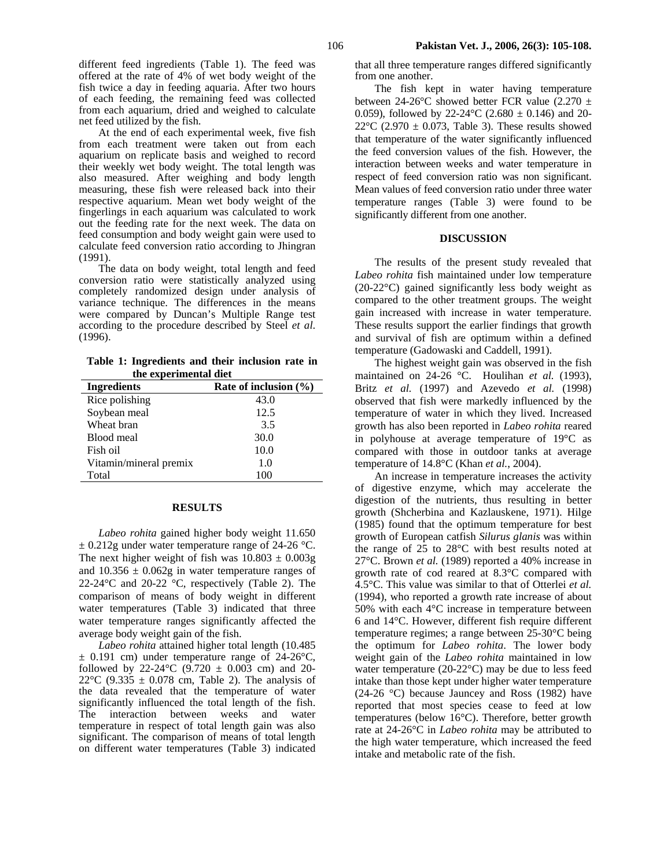At the end of each experimental week, five fish from each treatment were taken out from each aquarium on replicate basis and weighed to record their weekly wet body weight. The total length was also measured. After weighing and body length measuring, these fish were released back into their respective aquarium. Mean wet body weight of the fingerlings in each aquarium was calculated to work out the feeding rate for the next week. The data on feed consumption and body weight gain were used to calculate feed conversion ratio according to Jhingran (1991).

The data on body weight, total length and feed conversion ratio were statistically analyzed using completely randomized design under analysis of variance technique. The differences in the means were compared by Duncan's Multiple Range test according to the procedure described by Steel *et al*. (1996).

**Table 1: Ingredients and their inclusion rate in the experimental diet** 

| <b>Ingredients</b>     | Rate of inclusion $(\% )$ |
|------------------------|---------------------------|
| Rice polishing         | 43.0                      |
| Soybean meal           | 12.5                      |
| Wheat bran             | 3.5                       |
| Blood meal             | 30.0                      |
| Fish oil               | 10.0                      |
| Vitamin/mineral premix | 1.0                       |
| Total                  | 100                       |

#### **RESULTS**

*Labeo rohita* gained higher body weight 11.650  $\pm$  0.212g under water temperature range of 24-26 °C. The next higher weight of fish was  $10.803 \pm 0.003$ g and  $10.356 \pm 0.062g$  in water temperature ranges of 22-24 $\rm{°C}$  and 20-22  $\rm{°C}$ , respectively (Table 2). The comparison of means of body weight in different water temperatures (Table 3) indicated that three water temperature ranges significantly affected the average body weight gain of the fish.

*Labeo rohita* attained higher total length (10.485  $\pm$  0.191 cm) under temperature range of 24-26 °C, followed by 22-24 °C (9.720  $\pm$  0.003 cm) and 20-22 $\degree$ C (9.335  $\pm$  0.078 cm, Table 2). The analysis of the data revealed that the temperature of water significantly influenced the total length of the fish. The interaction between weeks and water temperature in respect of total length gain was also significant. The comparison of means of total length on different water temperatures (Table 3) indicated that all three temperature ranges differed significantly from one another.

The fish kept in water having temperature between 24-26 $^{\circ}$ C showed better FCR value (2.270  $\pm$ 0.059), followed by 22-24 $^{\circ}$ C (2.680  $\pm$  0.146) and 20-22 $\degree$ C (2.970  $\pm$  0.073, Table 3). These results showed that temperature of the water significantly influenced the feed conversion values of the fish. However, the interaction between weeks and water temperature in respect of feed conversion ratio was non significant. Mean values of feed conversion ratio under three water temperature ranges (Table 3) were found to be significantly different from one another.

#### **DISCUSSION**

The results of the present study revealed that *Labeo rohita* fish maintained under low temperature (20-22°C) gained significantly less body weight as compared to the other treatment groups. The weight gain increased with increase in water temperature. These results support the earlier findings that growth and survival of fish are optimum within a defined temperature (Gadowaski and Caddell, 1991).

The highest weight gain was observed in the fish maintained on 24-26 °C. Houlihan *et al.* (1993), Britz *et al.* (1997) and Azevedo *et al.* (1998) observed that fish were markedly influenced by the temperature of water in which they lived. Increased growth has also been reported in *Labeo rohita* reared in polyhouse at average temperature of 19°C as compared with those in outdoor tanks at average temperature of 14.8°C (Khan *et al.*, 2004).

An increase in temperature increases the activity of digestive enzyme, which may accelerate the digestion of the nutrients, thus resulting in better growth (Shcherbina and Kazlauskene, 1971). Hilge (1985) found that the optimum temperature for best growth of European catfish *Silurus glanis* was within the range of 25 to 28°C with best results noted at 27°C. Brown *et al.* (1989) reported a 40% increase in growth rate of cod reared at 8.3°C compared with 4.5°C. This value was similar to that of Otterlei *et al.* (1994), who reported a growth rate increase of about 50% with each 4°C increase in temperature between 6 and 14°C. However, different fish require different temperature regimes; a range between 25-30°C being the optimum for *Labeo rohita*. The lower body weight gain of the *Labeo rohita* maintained in low water temperature (20-22°C) may be due to less feed intake than those kept under higher water temperature (24-26 °C) because Jauncey and Ross (1982) have reported that most species cease to feed at low temperatures (below 16°C). Therefore, better growth rate at 24-26°C in *Labeo rohita* may be attributed to the high water temperature, which increased the feed intake and metabolic rate of the fish.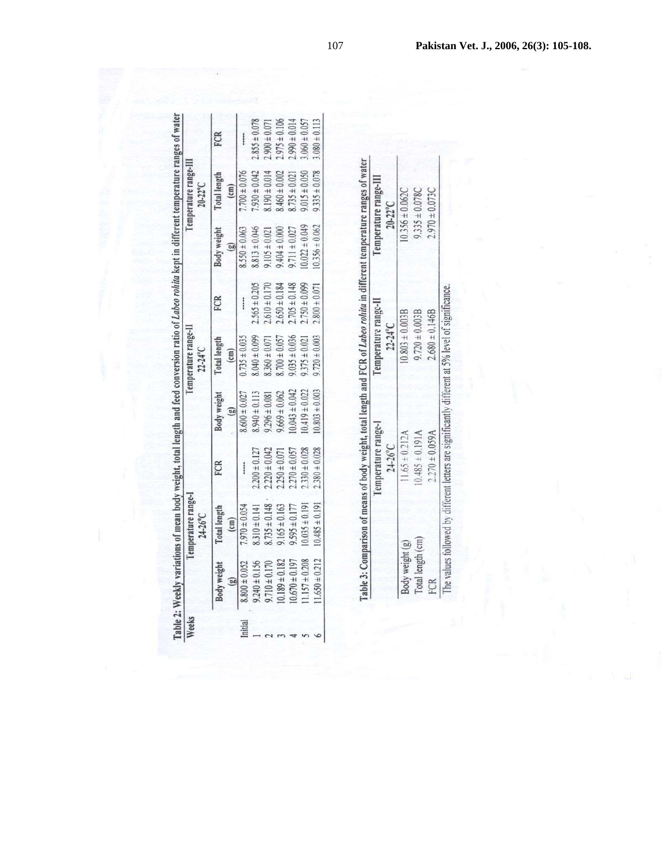| Weeks   |                         | Temperature range-I<br>24-26°C       |                   |                                    | lemperature range-II<br>$22.24^{\circ}$ C |                   |                             | Iemperature range-III<br>$20 - 22^{\circ}$ C |                   |
|---------|-------------------------|--------------------------------------|-------------------|------------------------------------|-------------------------------------------|-------------------|-----------------------------|----------------------------------------------|-------------------|
|         | <b>Body weight</b><br>O | <b>Total</b> length<br>$\text{cm}$ ) | FCR               | <b>Body weight</b><br>$\mathbb{E}$ | Total length<br>$\overline{\text{cm}}$    | FCR               | Body weight<br>$\mathbf{e}$ | Total length<br>$\overline{cm}$              | FCR               |
| Initial | $8.800 \pm 0.052$       | $.970 \pm 0.054$                     | ------            | $8,600 \pm 0.027$                  | $0.735 \pm 0.035$                         |                   | $8.550 \pm 0.063$           | $7.700 \pm 0.076$                            |                   |
|         | $.240 \pm 0.156$        | $8.310 \pm 0.141$                    | $2.200 \pm 0.127$ | $8.940 \pm 0.113$                  | $8.040 \pm 0.099$                         | $2.565 \pm 0.205$ | $8.813 \pm 0.046$           | $.930 \pm 0.042$                             | $2.855 \pm 0.078$ |
|         | $9.710 \pm 0.170$       | $3.735 \pm 0.148$                    | $.220 \pm 0.042$  | $1296 \pm 0.081$                   | $8.360 \pm 0.071$                         | $.610 \pm 0.170$  | $9.105 \pm 0.021$           | $8.190 \pm 0.014$                            | $.900 \pm 0.071$  |
|         | $10.189 \pm 0.182$      | $1.165 \pm 0.163$                    | $.250 \pm 0.071$  | $.669 \pm 0.062$                   | $.700 \pm 0.057$                          | $.650 \pm 0.184$  | $9.404 \pm 0.000$           | $8.460 \pm 0.002$                            | $.975 \pm 0.106$  |
|         | $10.670 \pm 0.197$      | $.595 \pm 0.177$                     | $2.270 \pm 0.057$ | $0.043 \pm 0.042$                  | $0.035 \pm 0.036$                         | $.705 \pm 0.148$  | $9.711 \pm 0.027$           | $1.735 \pm 0.021$                            | 0.014             |
|         | $1.157 \pm 0.208$       | $0.035 \pm 0.191$                    | $.330 \pm 0.028$  | $0.419 \pm 0.022$                  | $375 \pm 0.021$                           | $2.750 \pm 0.099$ | $0.022 \pm 0.049$           | $9.015 \pm 0.050$                            | $.060 \pm 0.057$  |
|         | $1.650 \pm 0.212$       | $0.485 \pm 0.191$                    | $.380 \pm 0.028$  | $0.803 \pm 0.003$                  | $9.720 \pm 0.003$                         | $.800 \pm 0.071$  | $0.356 \pm 0.062$           | $9.335 \pm 0.078$                            | $3.080 \pm 0.113$ |

Table 3: Comparison of means of body weight, total length and FCR of *Labeo rohita* in different temperature ranges of water<br>Temperature range-III<br>Temperature range-III

|                   | $24-26^{\circ}$ C                                                                                 | $22-24^{\circ}C$   | $20-22^{\circ}$ C   |  |
|-------------------|---------------------------------------------------------------------------------------------------|--------------------|---------------------|--|
| Body weight (g)   | $1.65 \pm 0.212A$                                                                                 | $0.803 \pm 0.003B$ | $0.356 \pm 0.062C$  |  |
| Total length (cm) | $1.485 \pm 0.191A$                                                                                | $9.720 \pm 0.003B$ | $9.335 \pm 0.078$ C |  |
| FCR               | $0.270 \pm 0.059$ A                                                                               | $2.680 \pm 0.146B$ | $.970 \pm 0.073$ C  |  |
|                   | The values followed by different letters are significantly different at 5% level of significance. |                    |                     |  |